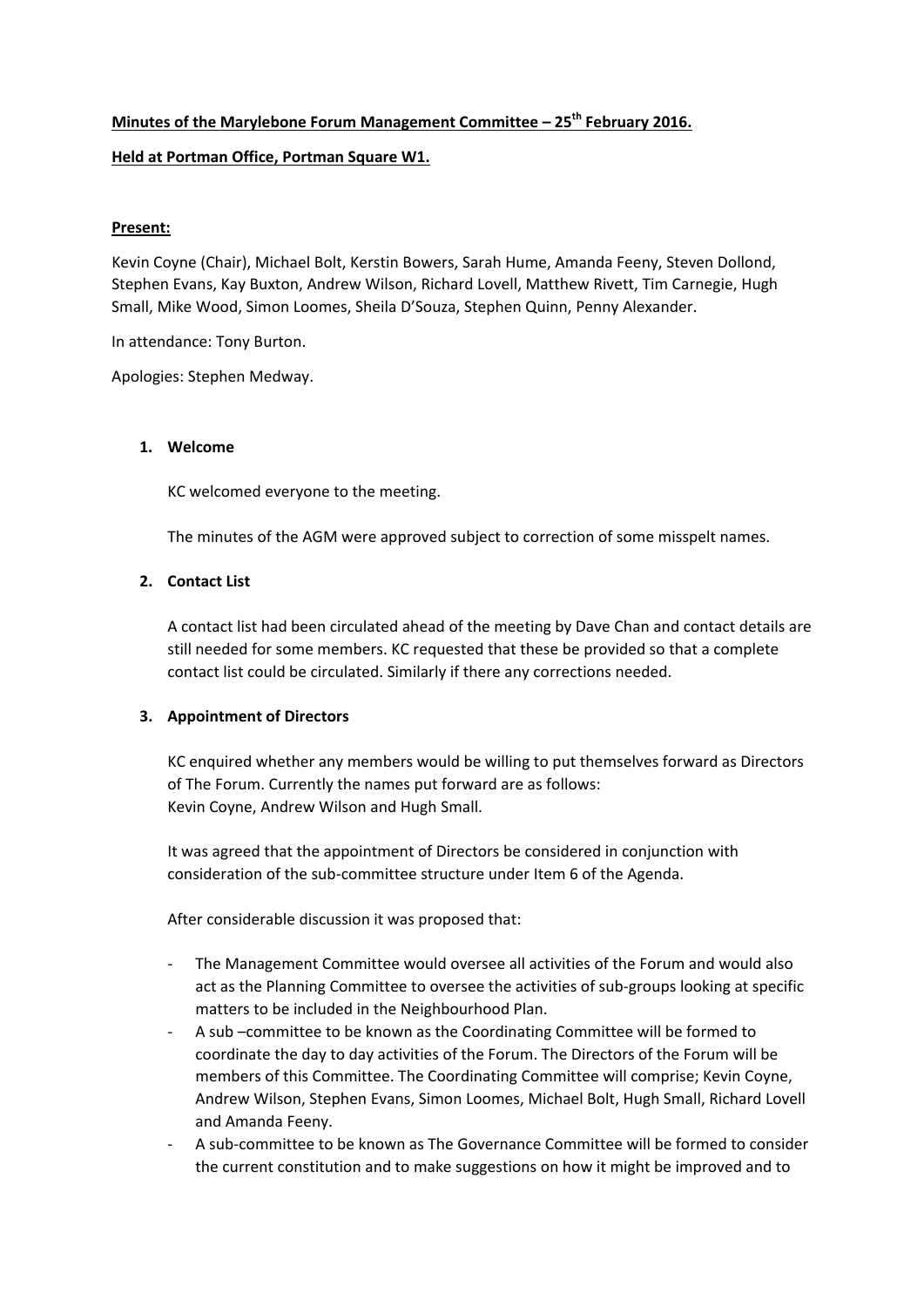# **Minutes of the Marylebone Forum Management Committee – 25th February 2016. Held at Portman Office, Portman Square W1.**

# **Present:**

Kevin Coyne (Chair), Michael Bolt, Kerstin Bowers, Sarah Hume, Amanda Feeny, Steven Dollond, Stephen Evans, Kay Buxton, Andrew Wilson, Richard Lovell, Matthew Rivett, Tim Carnegie, Hugh Small, Mike Wood, Simon Loomes, Sheila D'Souza, Stephen Quinn, Penny Alexander.

In attendance: Tony Burton.

Apologies: Stephen Medway.

## **1. Welcome**

KC welcomed everyone to the meeting.

The minutes of the AGM were approved subject to correction of some misspelt names.

# **2. Contact List**

A contact list had been circulated ahead of the meeting by Dave Chan and contact details are still needed for some members. KC requested that these be provided so that a complete contact list could be circulated. Similarly if there any corrections needed.

# **3. Appointment of Directors**

KC enquired whether any members would be willing to put themselves forward as Directors of The Forum. Currently the names put forward are as follows: Kevin Coyne, Andrew Wilson and Hugh Small.

It was agreed that the appointment of Directors be considered in conjunction with consideration of the sub‐committee structure under Item 6 of the Agenda.

After considerable discussion it was proposed that:

- ‐ The Management Committee would oversee all activities of the Forum and would also act as the Planning Committee to oversee the activities of sub‐groups looking at specific matters to be included in the Neighbourhood Plan.
- ‐ A sub –committee to be known as the Coordinating Committee will be formed to coordinate the day to day activities of the Forum. The Directors of the Forum will be members of this Committee. The Coordinating Committee will comprise; Kevin Coyne, Andrew Wilson, Stephen Evans, Simon Loomes, Michael Bolt, Hugh Small, Richard Lovell and Amanda Feeny.
- ‐ A sub‐committee to be known as The Governance Committee will be formed to consider the current constitution and to make suggestions on how it might be improved and to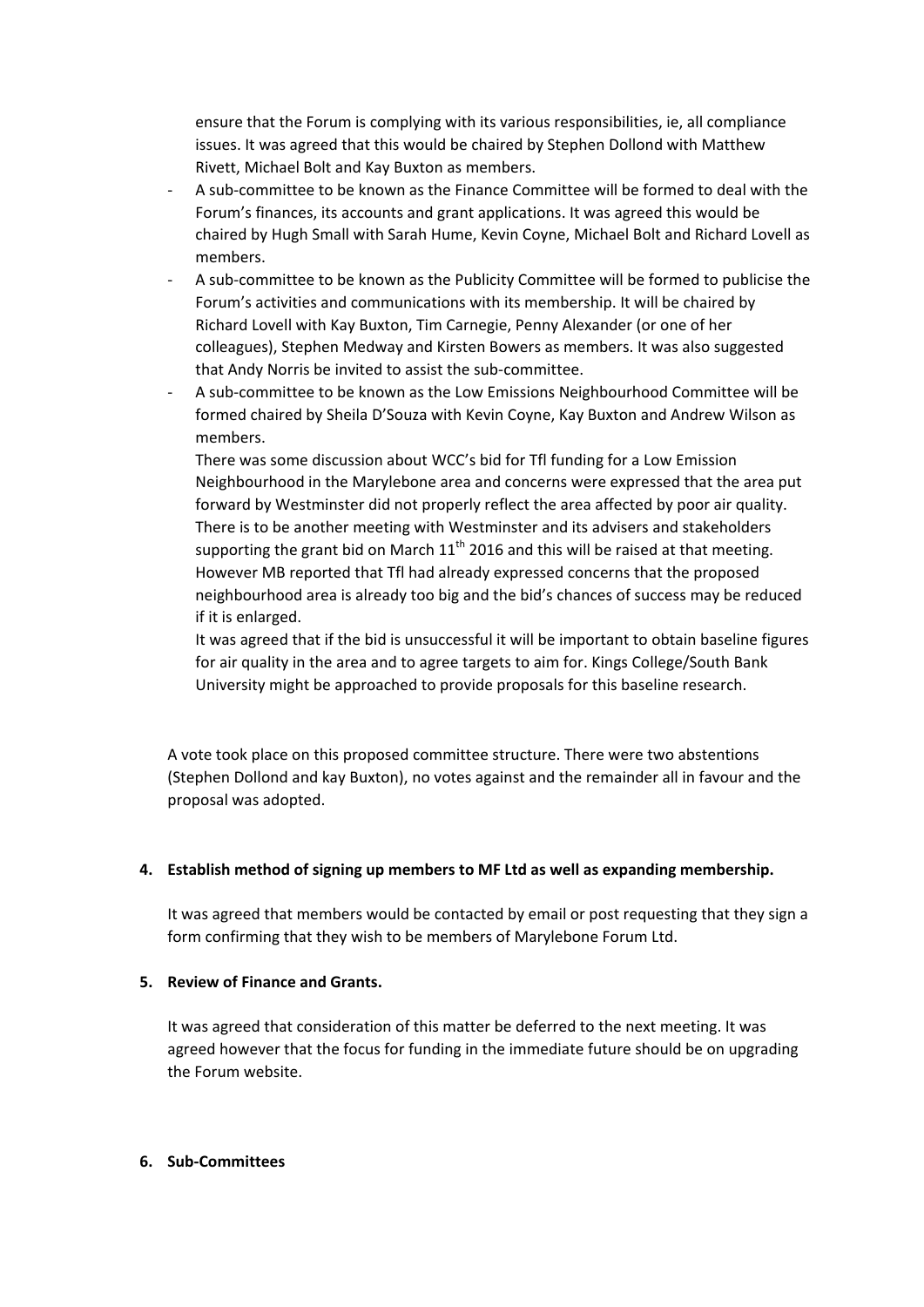ensure that the Forum is complying with its various responsibilities, ie, all compliance issues. It was agreed that this would be chaired by Stephen Dollond with Matthew Rivett, Michael Bolt and Kay Buxton as members.

- ‐ A sub‐committee to be known as the Finance Committee will be formed to deal with the Forum's finances, its accounts and grant applications. It was agreed this would be chaired by Hugh Small with Sarah Hume, Kevin Coyne, Michael Bolt and Richard Lovell as members.
- ‐ A sub‐committee to be known as the Publicity Committee will be formed to publicise the Forum's activities and communications with its membership. It will be chaired by Richard Lovell with Kay Buxton, Tim Carnegie, Penny Alexander (or one of her colleagues), Stephen Medway and Kirsten Bowers as members. It was also suggested that Andy Norris be invited to assist the sub‐committee.
- ‐ A sub‐committee to be known as the Low Emissions Neighbourhood Committee will be formed chaired by Sheila D'Souza with Kevin Coyne, Kay Buxton and Andrew Wilson as members.

There was some discussion about WCC's bid for Tfl funding for a Low Emission Neighbourhood in the Marylebone area and concerns were expressed that the area put forward by Westminster did not properly reflect the area affected by poor air quality. There is to be another meeting with Westminster and its advisers and stakeholders supporting the grant bid on March  $11<sup>th</sup>$  2016 and this will be raised at that meeting. However MB reported that Tfl had already expressed concerns that the proposed neighbourhood area is already too big and the bid's chances of success may be reduced if it is enlarged.

It was agreed that if the bid is unsuccessful it will be important to obtain baseline figures for air quality in the area and to agree targets to aim for. Kings College/South Bank University might be approached to provide proposals for this baseline research.

A vote took place on this proposed committee structure. There were two abstentions (Stephen Dollond and kay Buxton), no votes against and the remainder all in favour and the proposal was adopted.

## **4. Establish method of signing up members to MF Ltd as well as expanding membership.**

It was agreed that members would be contacted by email or post requesting that they sign a form confirming that they wish to be members of Marylebone Forum Ltd.

## **5. Review of Finance and Grants.**

It was agreed that consideration of this matter be deferred to the next meeting. It was agreed however that the focus for funding in the immediate future should be on upgrading the Forum website.

#### **6. Sub‐Committees**